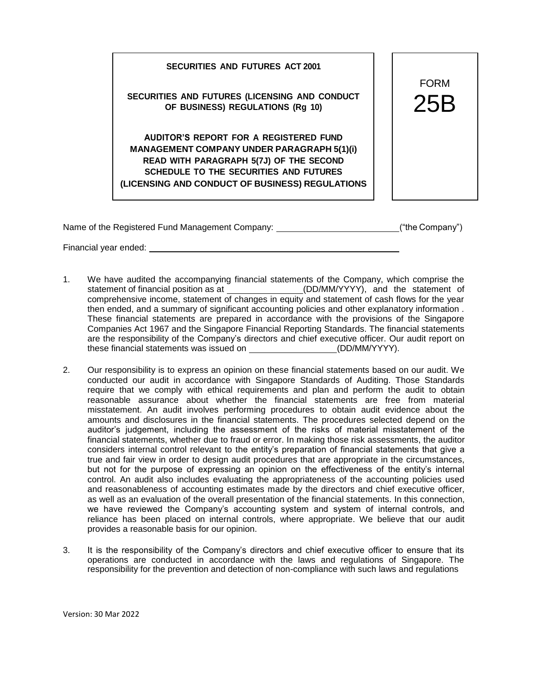**SECURITIES AND FUTURES (LICENSING AND CONDUCT OF BUSINESS) REGULATIONS (Rg 10)** 25B

**SECURITIES AND FUTURES ACT 2001**

**AUDITOR'S REPORT FOR A REGISTERED FUND MANAGEMENT COMPANY UNDER PARAGRAPH 5(1)(i) READ WITH PARAGRAPH 5(7J) OF THE SECOND SCHEDULE TO THE SECURITIES AND FUTURES (LICENSING AND CONDUCT OF BUSINESS) REGULATIONS**



Name of the Registered Fund Management Company:  $($ "the Company")

Financial year ended:

- 1. We have audited the accompanying financial statements of the Company, which comprise the statement of financial position as at (DD/MM/YYYY), and the statement of comprehensive income, statement of changes in equity and statement of cash flows for the year then ended, and a summary of significant accounting policies and other explanatory information . These financial statements are prepared in accordance with the provisions of the Singapore Companies Act 1967 and the Singapore Financial Reporting Standards. The financial statements are the responsibility of the Company's directors and chief executive officer. Our audit report on these financial statements was issued on (DD/MM/YYYY).
- 2. Our responsibility is to express an opinion on these financial statements based on our audit. We conducted our audit in accordance with Singapore Standards of Auditing. Those Standards require that we comply with ethical requirements and plan and perform the audit to obtain reasonable assurance about whether the financial statements are free from material misstatement. An audit involves performing procedures to obtain audit evidence about the amounts and disclosures in the financial statements. The procedures selected depend on the auditor's judgement, including the assessment of the risks of material misstatement of the financial statements, whether due to fraud or error. In making those risk assessments, the auditor considers internal control relevant to the entity's preparation of financial statements that give a true and fair view in order to design audit procedures that are appropriate in the circumstances, but not for the purpose of expressing an opinion on the effectiveness of the entity's internal control. An audit also includes evaluating the appropriateness of the accounting policies used and reasonableness of accounting estimates made by the directors and chief executive officer, as well as an evaluation of the overall presentation of the financial statements. In this connection, we have reviewed the Company's accounting system and system of internal controls, and reliance has been placed on internal controls, where appropriate. We believe that our audit provides a reasonable basis for our opinion.
- 3. It is the responsibility of the Company's directors and chief executive officer to ensure that its operations are conducted in accordance with the laws and regulations of Singapore. The responsibility for the prevention and detection of non-compliance with such laws and regulations